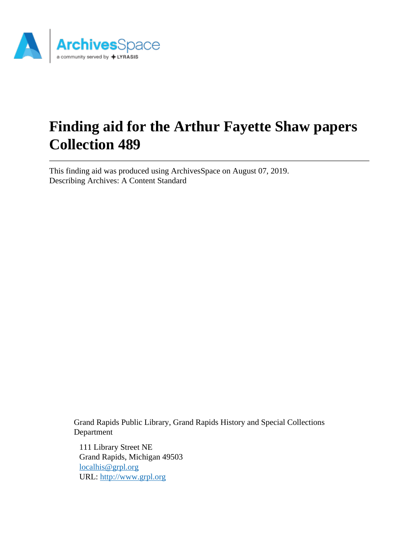

# **Finding aid for the Arthur Fayette Shaw papers Collection 489**

This finding aid was produced using ArchivesSpace on August 07, 2019. Describing Archives: A Content Standard

> Grand Rapids Public Library, Grand Rapids History and Special Collections Department

111 Library Street NE Grand Rapids, Michigan 49503 [localhis@grpl.org](mailto:localhis@grpl.org) URL:<http://www.grpl.org>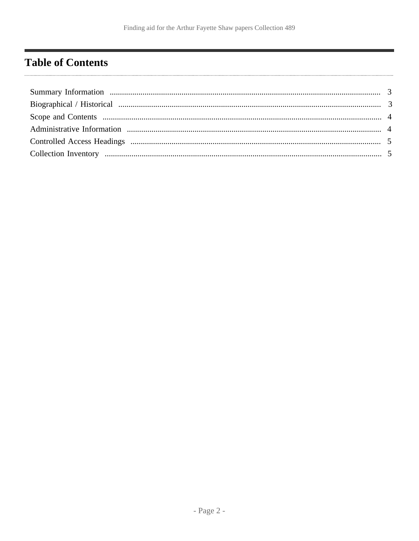# <span id="page-1-0"></span>**Table of Contents**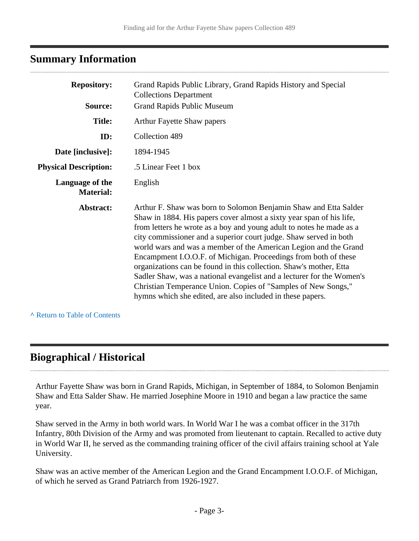#### <span id="page-2-0"></span>**Summary Information**

| <b>Repository:</b>                  | Grand Rapids Public Library, Grand Rapids History and Special<br><b>Collections Department</b>                                                                                                                                                                                                                                                                                                                                                                                                                                                                                                                                                                                                             |  |  |
|-------------------------------------|------------------------------------------------------------------------------------------------------------------------------------------------------------------------------------------------------------------------------------------------------------------------------------------------------------------------------------------------------------------------------------------------------------------------------------------------------------------------------------------------------------------------------------------------------------------------------------------------------------------------------------------------------------------------------------------------------------|--|--|
| Source:                             | <b>Grand Rapids Public Museum</b>                                                                                                                                                                                                                                                                                                                                                                                                                                                                                                                                                                                                                                                                          |  |  |
| <b>Title:</b>                       | <b>Arthur Fayette Shaw papers</b>                                                                                                                                                                                                                                                                                                                                                                                                                                                                                                                                                                                                                                                                          |  |  |
| ID:                                 | Collection 489                                                                                                                                                                                                                                                                                                                                                                                                                                                                                                                                                                                                                                                                                             |  |  |
| Date [inclusive]:                   | 1894-1945                                                                                                                                                                                                                                                                                                                                                                                                                                                                                                                                                                                                                                                                                                  |  |  |
| <b>Physical Description:</b>        | .5 Linear Feet 1 box                                                                                                                                                                                                                                                                                                                                                                                                                                                                                                                                                                                                                                                                                       |  |  |
| Language of the<br><b>Material:</b> | English                                                                                                                                                                                                                                                                                                                                                                                                                                                                                                                                                                                                                                                                                                    |  |  |
| Abstract:                           | Arthur F. Shaw was born to Solomon Benjamin Shaw and Etta Salder<br>Shaw in 1884. His papers cover almost a sixty year span of his life,<br>from letters he wrote as a boy and young adult to notes he made as a<br>city commissioner and a superior court judge. Shaw served in both<br>world wars and was a member of the American Legion and the Grand<br>Encampment I.O.O.F. of Michigan. Proceedings from both of these<br>organizations can be found in this collection. Shaw's mother, Etta<br>Sadler Shaw, was a national evangelist and a lecturer for the Women's<br>Christian Temperance Union. Copies of "Samples of New Songs,"<br>hymns which she edited, are also included in these papers. |  |  |

**^** [Return to Table of Contents](#page-1-0)

### <span id="page-2-1"></span>**Biographical / Historical**

Arthur Fayette Shaw was born in Grand Rapids, Michigan, in September of 1884, to Solomon Benjamin Shaw and Etta Salder Shaw. He married Josephine Moore in 1910 and began a law practice the same year.

Shaw served in the Army in both world wars. In World War I he was a combat officer in the 317th Infantry, 80th Division of the Army and was promoted from lieutenant to captain. Recalled to active duty in World War II, he served as the commanding training officer of the civil affairs training school at Yale University.

Shaw was an active member of the American Legion and the Grand Encampment I.O.O.F. of Michigan, of which he served as Grand Patriarch from 1926-1927.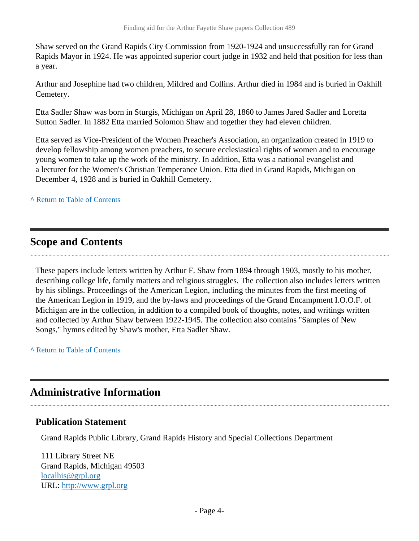Shaw served on the Grand Rapids City Commission from 1920-1924 and unsuccessfully ran for Grand Rapids Mayor in 1924. He was appointed superior court judge in 1932 and held that position for less than a year.

Arthur and Josephine had two children, Mildred and Collins. Arthur died in 1984 and is buried in Oakhill Cemetery.

Etta Sadler Shaw was born in Sturgis, Michigan on April 28, 1860 to James Jared Sadler and Loretta Sutton Sadler. In 1882 Etta married Solomon Shaw and together they had eleven children.

Etta served as Vice-President of the Women Preacher's Association, an organization created in 1919 to develop fellowship among women preachers, to secure ecclesiastical rights of women and to encourage young women to take up the work of the ministry. In addition, Etta was a national evangelist and a lecturer for the Women's Christian Temperance Union. Etta died in Grand Rapids, Michigan on December 4, 1928 and is buried in Oakhill Cemetery.

**^** [Return to Table of Contents](#page-1-0)

#### <span id="page-3-0"></span>**Scope and Contents**

These papers include letters written by Arthur F. Shaw from 1894 through 1903, mostly to his mother, describing college life, family matters and religious struggles. The collection also includes letters written by his siblings. Proceedings of the American Legion, including the minutes from the first meeting of the American Legion in 1919, and the by-laws and proceedings of the Grand Encampment I.O.O.F. of Michigan are in the collection, in addition to a compiled book of thoughts, notes, and writings written and collected by Arthur Shaw between 1922-1945. The collection also contains "Samples of New Songs," hymns edited by Shaw's mother, Etta Sadler Shaw.

**^** [Return to Table of Contents](#page-1-0)

#### <span id="page-3-1"></span>**Administrative Information**

#### **Publication Statement**

Grand Rapids Public Library, Grand Rapids History and Special Collections Department

111 Library Street NE Grand Rapids, Michigan 49503 [localhis@grpl.org](mailto:localhis@grpl.org) URL:<http://www.grpl.org>